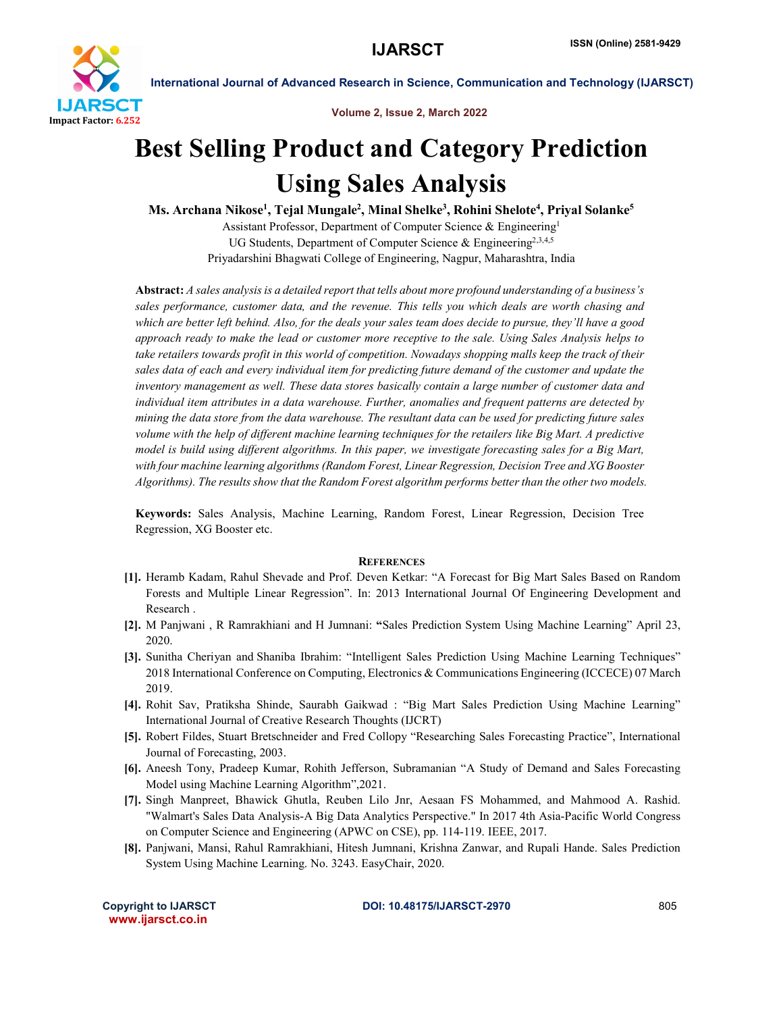

International Journal of Advanced Research in Science, Communication and Technology (IJARSCT)

Volume 2, Issue 2, March 2022

## Best Selling Product and Category Prediction Using Sales Analysis

Ms. Archana Nikose<sup>1</sup>, Tejal Mungale<sup>2</sup>, Minal Shelke<sup>3</sup>, Rohini Shelote<sup>4</sup>, Priyal Solanke<sup>5</sup>

Assistant Professor, Department of Computer Science & Engineering1 UG Students, Department of Computer Science  $\&$  Engineering<sup>2,3,4,5</sup> Priyadarshini Bhagwati College of Engineering, Nagpur, Maharashtra, India

Abstract: *A sales analysis is a detailed report that tells about more profound understanding of a business's sales performance, customer data, and the revenue. This tells you which deals are worth chasing and which are better left behind. Also, for the deals your sales team does decide to pursue, they'll have a good approach ready to make the lead or customer more receptive to the sale. Using Sales Analysis helps to take retailers towards profit in this world of competition. Nowadays shopping malls keep the track of their sales data of each and every individual item for predicting future demand of the customer and update the inventory management as well. These data stores basically contain a large number of customer data and individual item attributes in a data warehouse. Further, anomalies and frequent patterns are detected by mining the data store from the data warehouse. The resultant data can be used for predicting future sales volume with the help of different machine learning techniques for the retailers like Big Mart. A predictive model is build using different algorithms. In this paper, we investigate forecasting sales for a Big Mart, with four machine learning algorithms (Random Forest, Linear Regression, Decision Tree and XG Booster Algorithms). The results show that the Random Forest algorithm performs better than the other two models.*

Keywords: Sales Analysis, Machine Learning, Random Forest, Linear Regression, Decision Tree Regression, XG Booster etc.

## **REFERENCES**

- [1]. Heramb Kadam, Rahul Shevade and Prof. Deven Ketkar: "A Forecast for Big Mart Sales Based on Random Forests and Multiple Linear Regression". In: 2013 International Journal Of Engineering Development and Research .
- [2]. M Panjwani , R Ramrakhiani and H Jumnani: "Sales Prediction System Using Machine Learning" April 23, 2020.
- [3]. Sunitha Cheriyan and Shaniba Ibrahim: "Intelligent Sales Prediction Using Machine Learning Techniques" 2018 International Conference on Computing, Electronics & Communications Engineering (ICCECE) 07 March 2019.
- [4]. Rohit Sav, Pratiksha Shinde, Saurabh Gaikwad : "Big Mart Sales Prediction Using Machine Learning" International Journal of Creative Research Thoughts (IJCRT)
- [5]. Robert Fildes, Stuart Bretschneider and Fred Collopy "Researching Sales Forecasting Practice", International Journal of Forecasting, 2003.
- [6]. Aneesh Tony, Pradeep Kumar, Rohith Jefferson, Subramanian "A Study of Demand and Sales Forecasting Model using Machine Learning Algorithm",2021.
- [7]. Singh Manpreet, Bhawick Ghutla, Reuben Lilo Jnr, Aesaan FS Mohammed, and Mahmood A. Rashid. "Walmart's Sales Data Analysis-A Big Data Analytics Perspective." In 2017 4th Asia-Pacific World Congress on Computer Science and Engineering (APWC on CSE), pp. 114-119. IEEE, 2017.
- [8]. Panjwani, Mansi, Rahul Ramrakhiani, Hitesh Jumnani, Krishna Zanwar, and Rupali Hande. Sales Prediction System Using Machine Learning. No. 3243. EasyChair, 2020.

www.ijarsct.co.in

Copyright to IJARSCT DOI: 10.48175/IJARSCT-2970 805